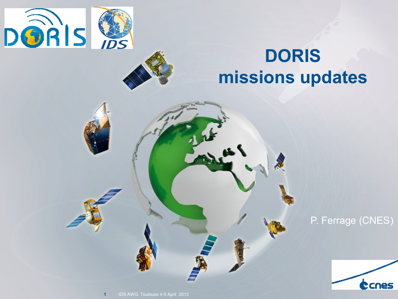



# **DORIS missions updates**

P. Ferrage (CNES)

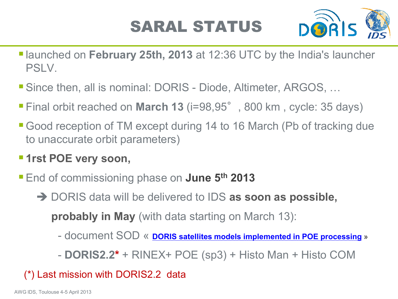## SARAL STATUS



- **launched on February 25th, 2013** at 12:36 UTC by the India's launcher PSLV.
- Since then, all is nominal: DORIS Diode, Altimeter, ARGOS, ...
- Final orbit reached on **March 13** (i=98,95°, 800 km , cycle: 35 days)
- Good reception of TM except during 14 to 16 March (Pb of tracking due to unaccurate orbit parameters)
- **1rst POE very soon,**
- End of commissioning phase on **June 5th 2013**
	- → DORIS data will be delivered to IDS as soon as possible,

 **probably in May** (with data starting on March 13):

- $\mathsf F$  processing  $\mathsf w$ G. More aux Clear (CLS) - document SOD « **[DORIS satellites models](ftp://ftp.ids-doris.org/pub/ids/satellites/DORISSatelliteModels.pdf) [implemented](ftp://ftp.ids-doris.org/pub/ids/satellites/DORISSatelliteModels.pdf) [in POE processing](ftp://ftp.ids-doris.org/pub/ids/satellites/DORISSatelliteModels.pdf) »**
- **DORIS2.2\*** + RINEX+ POE (sp3) + Histo Man + Histo COM

### (\*) Last mission with DORIS2.2 data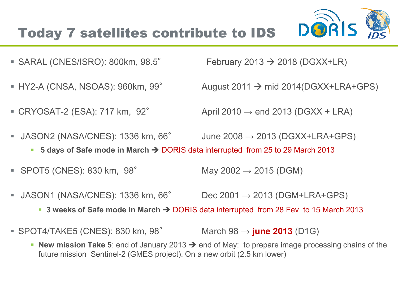

- SARAL (CNES/ISRO): 800km,  $98.5^{\circ}$  February 2013  $\rightarrow$  2018 (DGXX+LR)
- 
- 

HY2-A (CNSA, NSOAS): 960km, 99° August 2011  $\rightarrow$  mid 2014(DGXX+LRA+GPS)

■ CRYOSAT-2 (ESA): 717 km,  $92^\circ$  April 2010  $\rightarrow$  end 2013 (DGXX + LRA)

- JASON2 (NASA/CNES): 1336 km,  $66^{\circ}$  June 2008  $\rightarrow$  2013 (DGXX+LRA+GPS)
	- **5 days of Safe mode in March → DORIS data interrupted from 25 to 29 March 2013**
- $SPOT5 (CNES): 830 km, 98°$  May  $2002 \rightarrow 2015 (DGM)$
- JASON1 (NASA/CNES): 1336 km, 66° Dec 2001  $\rightarrow$  2013 (DGM+LRA+GPS)
	- 3 weeks of Safe mode in March → DORIS data interrupted from 28 Fev to 15 March 2013
- $\mathsf{G}$ ■ SPOT4/TAKE5 (CNES): 830 km, 98<sup>°</sup> March 98 → **june 2013** (D1G)
	- **New mission Take 5**: end of January 2013  $\rightarrow$  end of May: to prepare image processing chains of the future mission Sentinel-2 (GMES project). On a new orbit (2.5 km lower)

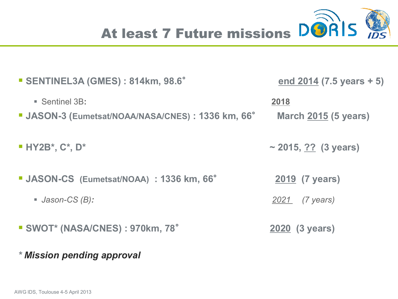

| SENTINEL3A (GMES): 814km, 98.6°                                                | end $2014$ (7.5 years + 5)              |
|--------------------------------------------------------------------------------|-----------------------------------------|
| Sentinel 3B:<br><b>JASON-3 (Eumetsat/NOAA/NASA/CNES): 1336 km, 66°</b>         | 2018<br><b>March 2015 (5 years)</b>     |
| $\blacksquare$ HY2B*, C*, D*                                                   | ~ 2015, $??$ (3 years)                  |
| <b>JASON-CS</b> (Eumetsat/NOAA) : 1336 km, 66°<br>$\blacksquare$ Jason-CS (B): | <b>2019 (7 years)</b><br>2021 (7 years) |
| <b>SWOT* (NASA/CNES): 970km, 78°</b>                                           | <b>2020 (3 years)</b>                   |

#### *\* Mission pending approval*